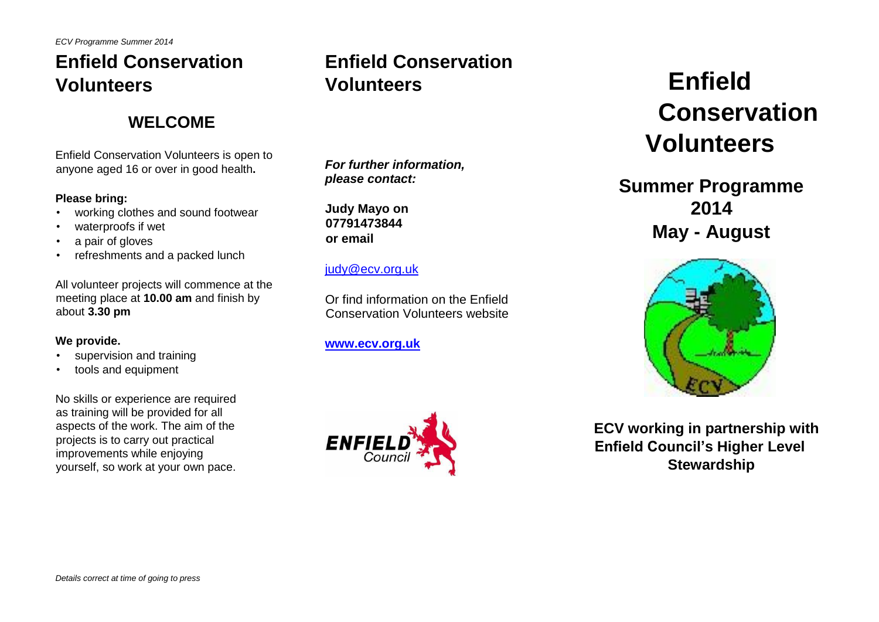*ECV Programme Summer 2014*

# **Enfield Conservation Volunteers**

### **WELCOME**

Enfield Conservation Volunteers is open to anyone aged 16 or over in good health**.** 

#### **Please bring:**

- working clothes and sound footwear
- waterproofs if wet
- a pair of gloves
- refreshments and a packed lunch

All volunteer projects will commence at the meeting place at **10.00 am** and finish by about **3.30 pm**

#### **We provide.**

- supervision and training
- tools and equipment

No skills or experience are required as training will be provided for all aspects of the work. The aim of the projects is to carry out practical improvements while enjoying yourself, so work at your own pace.

# **Enfield Conservation Volunteers**

*For further information, please contact:* 

**Judy Mayo on 07791473844 or email** 

#### judy@ecv.org.uk

Or find information on the Enfield Conservation Volunteers website

#### **[www.ecv.org.uk](http://www.ecv.org.uk/)**



# **Enfield Conservation Volunteers**

## **Summer Programme 2014 May - August**



**ECV working in partnership with Enfield Council's Higher Level Stewardship**